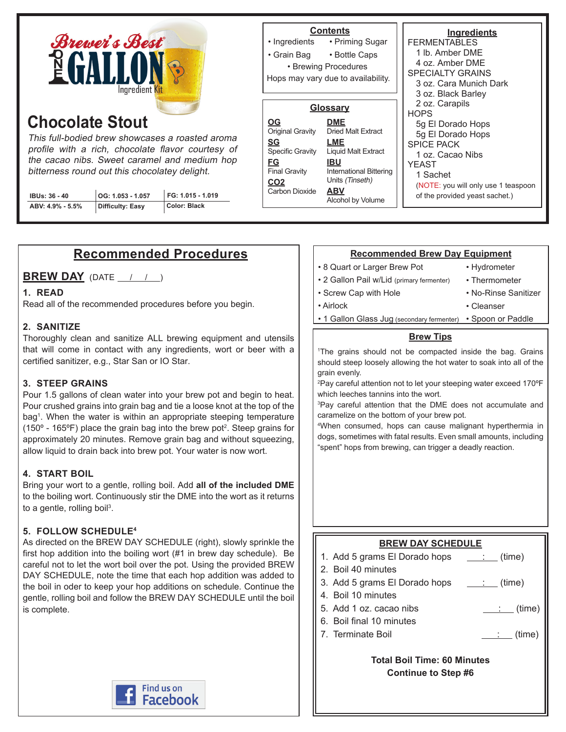

# **Chocolate Stout**

This full-bodied brew showcases a roasted aroma profile with a rich, chocolate flavor courtesy of the cacao nibs. Sweet caramel and medium hop bitterness round out this chocolatey delight.

| IBUs: 36 - 40    | OG: 1.053 - 1.057 | FG: 1.015 - 1.019 | Carbon Dioxide |
|------------------|-------------------|-------------------|----------------|
| ABV: 4.9% - 5.5% | Difficulty: Easy  | Color: Black      |                |

#### **Ingredients FERMENTABLES** 1 lb. Amber DME 4 oz. Amber DME SPECIALTY GRAINS 3 oz. Cara Munich Dark 3 oz. Black Barley 2 oz. Carapils **HOPS** 5g El Dorado Hops 5g El Dorado Hops SPICE PACK 1 oz. Cacao Nibs YEAST 1 Sachet (NOTE: you will only use 1 teaspoon of the provided yeast sachet.) **Contents** • Priming Sugar • Bottle Caps • Ingredients • Grain Bag • Brewing Procedures **Glossary DME** Dried Malt Extract **LME** Liquid Malt Extract **IBU** International Bittering Units (Tinseth) **ABV** Alcohol by Volume **OG** Original Gravity **SG** Specific Gravity **FG** Final Gravity CO2<br>Carbon Dioxide Hops may vary due to availability.

## **Recommended Procedures**

**BREW DAY** (DATE / / )

### **1. READ**

Read all of the recommended procedures before you begin.

### **2. SANITIZE**

Thoroughly clean and sanitize ALL brewing equipment and utensils that will come in contact with any ingredients, wort or beer with a certified sanitizer, e.g., Star San or IO Star.

### **3. STEEP GRAINS**

Pour 1.5 gallons of clean water into your brew pot and begin to heat. Pour crushed grains into grain bag and tie a loose knot at the top of the bag<sup>1</sup> . When the water is within an appropriate steeping temperature (150 $\textdegree$  - 165 $\textdegree$ F) place the grain bag into the brew pot<sup>2</sup>. Steep grains for approximately 20 minutes. Remove grain bag and without squeezing, allow liquid to drain back into brew pot. Your water is now wort.

### **4. START BOIL**

Bring your wort to a gentle, rolling boil. Add **all of the included DME** to the boiling wort. Continuously stir the DME into the wort as it returns to a gentle, rolling boil<sup>3</sup>.

### **5. FOLLOW SCHEDULE4**

As directed on the BREW DAY SCHEDULE (right), slowly sprinkle the first hop addition into the boiling wort (#1 in brew day schedule). Be careful not to let the wort boil over the pot. Using the provided BREW DAY SCHEDULE, note the time that each hop addition was added to the boil in oder to keep your hop additions on schedule. Continue the gentle, rolling boil and follow the BREW DAY SCHEDULE until the boil is complete.



### **Recommended Brew Day Equipment**

- 8 Quart or Larger Brew Pot
- 2 Gallon Pail w/Lid (primary fermenter)
- Screw Cap with Hole
- Airlock

• Thermometer • No-Rinse Sanitizer

• Cleanser

• Hydrometer

- 
- 1 Gallon Glass Jug (secondary fermenter) Spoon or Paddle

### **Brew Tips**

1 The grains should not be compacted inside the bag. Grains should steep loosely allowing the hot water to soak into all of the grain evenly.

2 Pay careful attention not to let your steeping water exceed 170ºF which leeches tannins into the wort.

3 Pay careful attention that the DME does not accumulate and caramelize on the bottom of your brew pot.

4 When consumed, hops can cause malignant hyperthermia in dogs, sometimes with fatal results. Even small amounts, including "spent" hops from brewing, can trigger a deadly reaction.

### **BREW DAY SCHEDULE** 1. Add 5 grams El Dorado hops  $\quad \cdot \quad$  (time) 2. Boil 40 minutes 3. Add 5 grams El Dorado hops  $\quad \underline{\quad : \quad }$  (time) 4. Boil 10 minutes 5. Add 1 oz. cacao nibs  $\qquad \qquad \qquad \qquad$  (time) 6. Boil final 10 minutes 7. Terminate Boil  $\qquad \qquad \qquad \qquad$  (time) **Total Boil Time: 60 Minutes**

**Continue to Step #6**